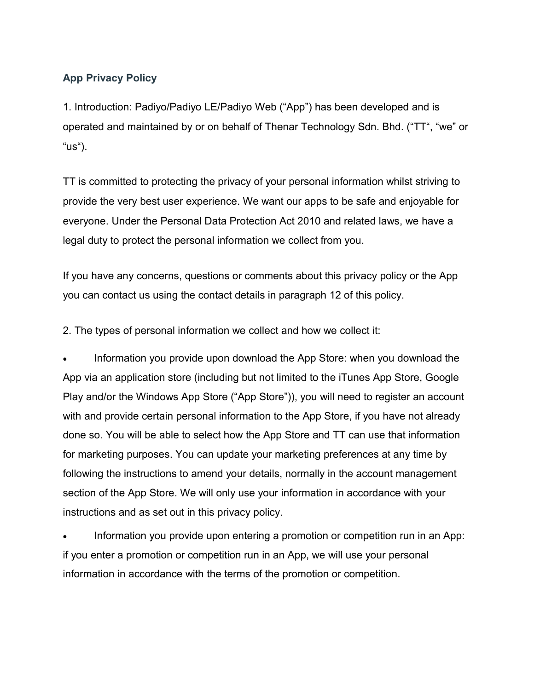## **App Privacy Policy**

1. Introduction: Padiyo/Padiyo LE/Padiyo Web ("App") has been developed and is operated and maintained by or on behalf of Thenar Technology Sdn. Bhd. ("TT", "we" or "us").

TT is committed to protecting the privacy of your personal information whilst striving to provide the very best user experience. We want our apps to be safe and enjoyable for everyone. Under the Personal Data Protection Act 2010 and related laws, we have a legal duty to protect the personal information we collect from you.

If you have any concerns, questions or comments about this privacy policy or the App you can contact us using the contact details in paragraph 12 of this policy.

2. The types of personal information we collect and how we collect it:

 Information you provide upon download the App Store: when you download the App via an application store (including but not limited to the iTunes App Store, Google Play and/or the Windows App Store ("App Store")), you will need to register an account with and provide certain personal information to the App Store, if you have not already done so. You will be able to select how the App Store and TT can use that information for marketing purposes. You can update your marketing preferences at any time by following the instructions to amend your details, normally in the account management section of the App Store. We will only use your information in accordance with your instructions and as set out in this privacy policy.

 Information you provide upon entering a promotion or competition run in an App: if you enter a promotion or competition run in an App, we will use your personal information in accordance with the terms of the promotion or competition.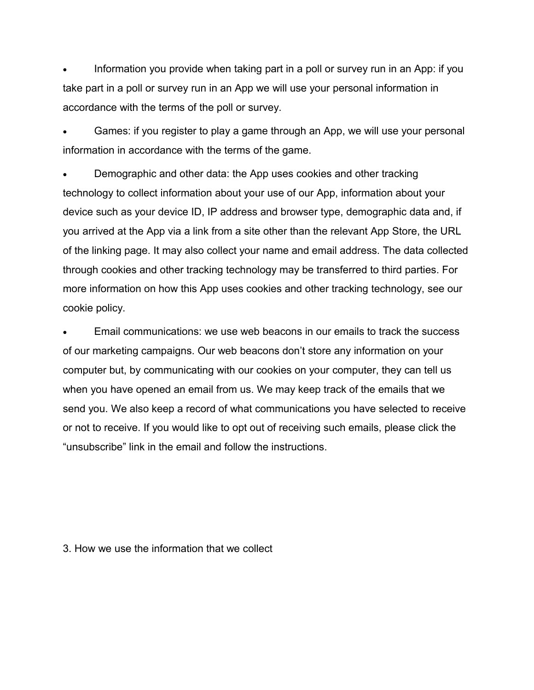Information you provide when taking part in a poll or survey run in an App: if you take part in a poll or survey run in an App we will use your personal information in accordance with the terms of the poll or survey.

 Games: if you register to play a game through an App, we will use your personal information in accordance with the terms of the game.

 Demographic and other data: the App uses cookies and other tracking technology to collect information about your use of our App, information about your device such as your device ID, IP address and browser type, demographic data and, if you arrived at the App via a link from a site other than the relevant App Store, the URL of the linking page. It may also collect your name and email address. The data collected through cookies and other tracking technology may be transferred to third parties. For more information on how this App uses cookies and other tracking technology, see our cookie policy.

 Email communications: we use web beacons in our emails to track the success of our marketing campaigns. Our web beacons don't store any information on your computer but, by communicating with our cookies on your computer, they can tell us when you have opened an email from us. We may keep track of the emails that we send you. We also keep a record of what communications you have selected to receive or not to receive. If you would like to opt out of receiving such emails, please click the "unsubscribe" link in the email and follow the instructions.

## 3. How we use the information that we collect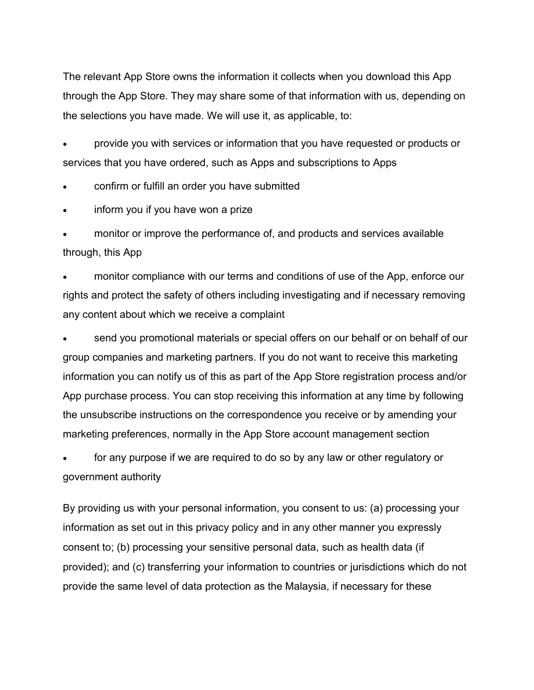The relevant App Store owns the information it collects when you download this App through the App Store. They may share some of that information with us, depending on the selections you have made. We will use it, as applicable, to:

 provide you with services or information that you have requested or products or services that you have ordered, such as Apps and subscriptions to Apps

confirm or fulfill an order you have submitted

inform you if you have won a prize

 monitor or improve the performance of, and products and services available through, this App

 monitor compliance with our terms and conditions of use of the App, enforce our rights and protect the safety of others including investigating and if necessary removing any content about which we receive a complaint

 send you promotional materials or special offers on our behalf or on behalf of our group companies and marketing partners. If you do not want to receive this marketing information you can notify us of this as part of the App Store registration process and/or App purchase process. You can stop receiving this information at any time by following the unsubscribe instructions on the correspondence you receive or by amending your marketing preferences, normally in the App Store account management section

 for any purpose if we are required to do so by any law or other regulatory or government authority

By providing us with your personal information, you consent to us: (a) processing your information as set out in this privacy policy and in any other manner you expressly consent to; (b) processing your sensitive personal data, such as health data (if provided); and (c) transferring your information to countries or jurisdictions which do not provide the same level of data protection as the Malaysia, if necessary for these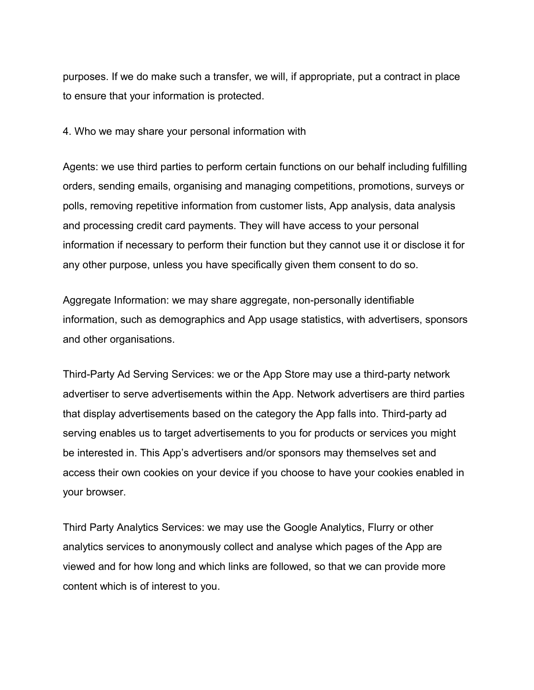purposes. If we do make such a transfer, we will, if appropriate, put a contract in place to ensure that your information is protected.

4. Who we may share your personal information with

Agents: we use third parties to perform certain functions on our behalf including fulfilling orders, sending emails, organising and managing competitions, promotions, surveys or polls, removing repetitive information from customer lists, App analysis, data analysis and processing credit card payments. They will have access to your personal information if necessary to perform their function but they cannot use it or disclose it for any other purpose, unless you have specifically given them consent to do so.

Aggregate Information: we may share aggregate, non-personally identifiable information, such as demographics and App usage statistics, with advertisers, sponsors and other organisations.

Third-Party Ad Serving Services: we or the App Store may use a third-party network advertiser to serve advertisements within the App. Network advertisers are third parties that display advertisements based on the category the App falls into. Third-party ad serving enables us to target advertisements to you for products or services you might be interested in. This App's advertisers and/or sponsors may themselves set and access their own cookies on your device if you choose to have your cookies enabled in your browser.

Third Party Analytics Services: we may use the Google Analytics, Flurry or other analytics services to anonymously collect and analyse which pages of the App are viewed and for how long and which links are followed, so that we can provide more content which is of interest to you.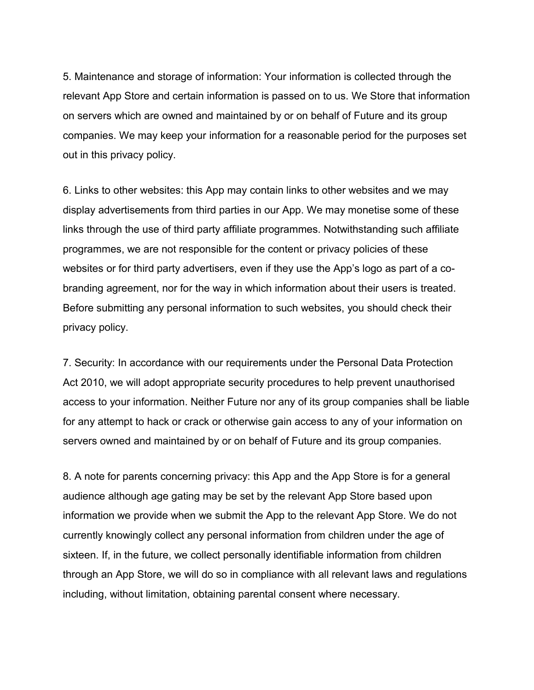5. Maintenance and storage of information: Your information is collected through the relevant App Store and certain information is passed on to us. We Store that information on servers which are owned and maintained by or on behalf of Future and its group companies. We may keep your information for a reasonable period for the purposes set out in this privacy policy.

6. Links to other websites: this App may contain links to other websites and we may display advertisements from third parties in our App. We may monetise some of these links through the use of third party affiliate programmes. Notwithstanding such affiliate programmes, we are not responsible for the content or privacy policies of these websites or for third party advertisers, even if they use the App's logo as part of a cobranding agreement, nor for the way in which information about their users is treated. Before submitting any personal information to such websites, you should check their privacy policy.

7. Security: In accordance with our requirements under the Personal Data Protection Act 2010, we will adopt appropriate security procedures to help prevent unauthorised access to your information. Neither Future nor any of its group companies shall be liable for any attempt to hack or crack or otherwise gain access to any of your information on servers owned and maintained by or on behalf of Future and its group companies.

8. A note for parents concerning privacy: this App and the App Store is for a general audience although age gating may be set by the relevant App Store based upon information we provide when we submit the App to the relevant App Store. We do not currently knowingly collect any personal information from children under the age of sixteen. If, in the future, we collect personally identifiable information from children through an App Store, we will do so in compliance with all relevant laws and regulations including, without limitation, obtaining parental consent where necessary.